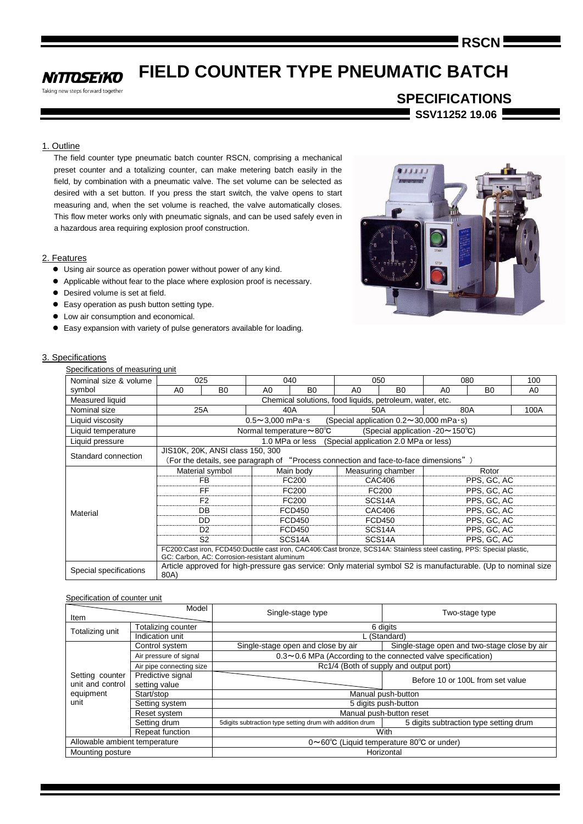# **RSCN**

#### **FIELD COUNTER TYPE PNEUMATIC BATCH NITTOSEIKO**

Taking new steps forward together

**SPECIFICATIONS SSV11252 19.06**

## 1. Outline

The field counter type pneumatic batch counter RSCN, comprising a mechanical preset counter and a totalizing counter, can make metering batch easily in the field, by combination with a pneumatic valve. The set volume can be selected as desired with a set button. If you press the start switch, the valve opens to start measuring and, when the set volume is reached, the valve automatically closes. This flow meter works only with pneumatic signals, and can be used safely even in a hazardous area requiring explosion proof construction.

## 2. Features

- Using air source as operation power without power of any kind.
- Applicable without fear to the place where explosion proof is necessary.
- Desired volume is set at field.
- Easy operation as push button setting type.
- $\bullet$  Low air consumption and economical.
- Easy expansion with variety of pulse generators available for loading.

## 3. Specifications

| Nominal size & volume  |      | 025                                                                                  | 040                                                                                                                                                                   |                     |                | 050                                                      |                | 080            | 100  |  |  |
|------------------------|------|--------------------------------------------------------------------------------------|-----------------------------------------------------------------------------------------------------------------------------------------------------------------------|---------------------|----------------|----------------------------------------------------------|----------------|----------------|------|--|--|
| symbol                 | A0   | B <sub>0</sub>                                                                       | A <sub>0</sub>                                                                                                                                                        | B <sub>0</sub>      | A <sub>0</sub> | B <sub>0</sub>                                           | A <sub>0</sub> | B <sub>0</sub> | A0   |  |  |
| Measured liquid        |      |                                                                                      |                                                                                                                                                                       |                     |                | Chemical solutions, food liquids, petroleum, water, etc. |                |                |      |  |  |
| Nominal size           |      | 25A                                                                                  | 40A                                                                                                                                                                   |                     |                | 50A                                                      |                | 80A            | 100A |  |  |
| Liquid viscosity       |      | $0.5 - 3,000$ mPa $\cdot$ s<br>(Special application $0.2 \sim 30,000$ mPa $\cdot$ s) |                                                                                                                                                                       |                     |                |                                                          |                |                |      |  |  |
| Liquid temperature     |      |                                                                                      | Normal temperature $\sim$ 80 $\degree$ C                                                                                                                              |                     |                | (Special application -20 $\sim$ 150 $\degree$ C)         |                |                |      |  |  |
| Liquid pressure        |      |                                                                                      | 1.0 MPa or less                                                                                                                                                       |                     |                | (Special application 2.0 MPa or less)                    |                |                |      |  |  |
| Standard connection    |      | JIS10K, 20K, ANSI class 150, 300                                                     | (For the details, see paragraph of "Process connection and face-to-face dimensions")                                                                                  |                     |                |                                                          |                |                |      |  |  |
|                        |      | Material symbol                                                                      |                                                                                                                                                                       | Main body           |                | Measuring chamber                                        |                | Rotor          |      |  |  |
|                        |      | FB                                                                                   |                                                                                                                                                                       | FC200               |                | CAC406                                                   |                | PPS, GC, AC    |      |  |  |
|                        |      | FF                                                                                   |                                                                                                                                                                       | FC200               |                | FC200                                                    |                | PPS, GC, AC    |      |  |  |
|                        |      | F <sub>2</sub>                                                                       |                                                                                                                                                                       | FC200               |                | SCS14A                                                   | PPS, GC, AC    |                |      |  |  |
| Material               |      | DB                                                                                   |                                                                                                                                                                       | <b>FCD450</b>       |                | CAC406                                                   |                | PPS, GC, AC    |      |  |  |
|                        |      | <b>DD</b>                                                                            | <b>FCD450</b>                                                                                                                                                         |                     | FCD450         |                                                          | PPS, GC, AC    |                |      |  |  |
|                        |      | D <sub>2</sub>                                                                       |                                                                                                                                                                       | FCD450              |                | SCS14A                                                   |                | PPS, GC, AC    |      |  |  |
|                        |      | S <sub>2</sub>                                                                       |                                                                                                                                                                       | SCS <sub>14</sub> A |                | SCS <sub>14</sub> A                                      | PPS, GC, AC    |                |      |  |  |
|                        |      |                                                                                      | FC200:Cast iron, FCD450:Ductile cast iron, CAC406:Cast bronze, SCS14A: Stainless steel casting, PPS: Special plastic,<br>GC: Carbon, AC: Corrosion-resistant aluminum |                     |                |                                                          |                |                |      |  |  |
| Special specifications | 80A) |                                                                                      | Article approved for high-pressure gas service: Only material symbol S2 is manufacturable. (Up to nominal size                                                        |                     |                |                                                          |                |                |      |  |  |

## Specification of counter unit

| Item                          | Model                    | Single-stage type                                        | Two-stage type                                               |  |  |  |  |  |
|-------------------------------|--------------------------|----------------------------------------------------------|--------------------------------------------------------------|--|--|--|--|--|
| Totalizing unit               | Totalizing counter       | 6 digits                                                 |                                                              |  |  |  |  |  |
|                               | Indication unit          | L (Standard)                                             |                                                              |  |  |  |  |  |
|                               | Control system           | Single-stage open and close by air                       | Single-stage open and two-stage close by air                 |  |  |  |  |  |
|                               | Air pressure of signal   |                                                          | 0.3~0.6 MPa (According to the connected valve specification) |  |  |  |  |  |
| Setting counter               | Air pipe connecting size |                                                          | Rc1/4 (Both of supply and output port)                       |  |  |  |  |  |
|                               | Predictive signal        |                                                          | Before 10 or 100L from set value                             |  |  |  |  |  |
| unit and control              | setting value            |                                                          |                                                              |  |  |  |  |  |
| equipment                     | Start/stop               | Manual push-button                                       |                                                              |  |  |  |  |  |
| unit                          | Setting system           | 5 digits push-button                                     |                                                              |  |  |  |  |  |
|                               | Reset system             |                                                          | Manual push-button reset                                     |  |  |  |  |  |
|                               | Setting drum             | 5digits subtraction type setting drum with addition drum | 5 digits subtraction type setting drum                       |  |  |  |  |  |
|                               | Repeat function          |                                                          | With                                                         |  |  |  |  |  |
| Allowable ambient temperature |                          |                                                          | 0~60°C (Liquid temperature 80°C or under)                    |  |  |  |  |  |
| Mounting posture              |                          |                                                          | Horizontal                                                   |  |  |  |  |  |

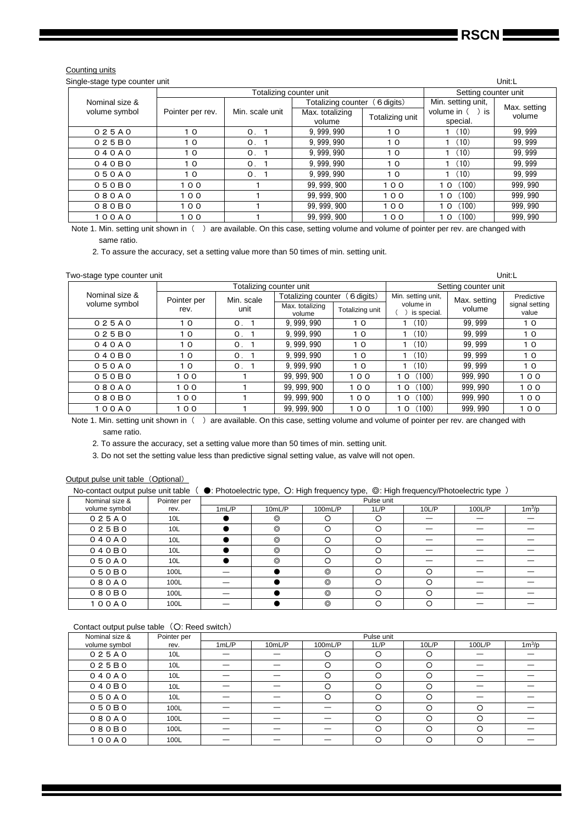#### Counting units

| Single-stage type counter unit |                  |                           |                           |                 |                                | Unit:L                 |  |
|--------------------------------|------------------|---------------------------|---------------------------|-----------------|--------------------------------|------------------------|--|
|                                |                  | Totalizing counter unit   | Setting counter unit      |                 |                                |                        |  |
| Nominal size &                 |                  |                           | Totalizing counter        | (6 digits)      | Min. setting unit,             |                        |  |
| volume symbol                  | Pointer per rev. | Min. scale unit           | Max. totalizing<br>volume | Totalizing unit | volume in $( )$ is<br>special. | Max. setting<br>volume |  |
| 025A0                          | 10               | 0.1                       | 9.999.990                 | 10              | (10)                           | 99.999                 |  |
| 025B0                          | 10               | O <sub>1</sub>            | 9, 999, 990               | 10              | (10)                           | 99.999                 |  |
| 040A0                          | 10               | 0.1                       | 9.999.990                 | 10              | (10)                           | 99.999                 |  |
| 040B0                          | 10               | $\mathsf{O}_{\mathsf{L}}$ | 9.999.990                 | 10              | 1(10)                          | 99.999                 |  |
| 050A0                          | 10               | 0.                        | 9, 999, 990               | 10              | (10)                           | 99.999                 |  |
| 050B0                          | 100              |                           | 99.999.900                | 100             | 10(100)                        | 999.990                |  |
| 080A0                          | 100              |                           | 99.999.900                | 100             | 10(100)                        | 999, 990               |  |
| 080B0                          | 100              |                           | 99, 999, 900              | 100             | (100)<br>10                    | 999.990                |  |
| 100A0                          | 100              |                           | 99.999.900                | 100             | (100)<br>10                    | 999.990                |  |

Note 1. Min. setting unit shown in () are available. On this case, setting volume and volume of pointer per rev. are changed with same ratio.

2. To assure the accuracy, set a setting value more than 50 times of min. setting unit.

#### Two-stage type counter unit Unit:L

|                |             | Totalizing counter unit |                           |                 |                          | Setting counter unit |                         |
|----------------|-------------|-------------------------|---------------------------|-----------------|--------------------------|----------------------|-------------------------|
| Nominal size & | Pointer per | Min. scale              | Totalizing counter        | 6 digits)       | Min. setting unit,       | Max. setting         | Predictive              |
| volume symbol  | rev.        | unit                    | Max. totalizing<br>volume | Totalizing unit | volume in<br>is special. | volume               | signal setting<br>value |
| 025A0          | 10          | $\mathsf{O}$ .          | 9, 999, 990               | 10              | (10)                     | 99.999               | 10                      |
| 025B0          | 10          | $\mathsf{O}$ .          | 9.999.990                 | 10              | (10)                     | 99.999               | 10                      |
| 040A0          | 10          | $\mathbf{0}$ .          | 9.999.990                 | 10              | (10)                     | 99.999               | 10                      |
| 040B0          | 10          | $\mathsf{O}$ .          | 9.999.990                 | 10              | (10)                     | 99.999               | 10                      |
| 050A0          | 10          | O <sub>1</sub>          | 9.999.990                 | 10              | (10)                     | 99.999               | 10                      |
| 050B0          | 100         |                         | 99, 999, 900              | 100             | (100)<br>10              | 999.990              | 100                     |
| 080A0          | 100         |                         | 99, 999, 900              | 100             | (100)<br>10              | 999.990              | 100                     |
| 080B0          | 100         |                         | 99.999.900                | 100             | (100)<br>10              | 999.990              | 100                     |
| 100A0          | 100         |                         | 99, 999, 900              | 100             | (100)<br>10              | 999.990              | 100                     |

Note 1. Min. setting unit shown in ( ) are available. On this case, setting volume and volume of pointer per rev. are changed with same ratio.

2. To assure the accuracy, set a setting value more than 50 times of min. setting unit.

3. Do not set the setting value less than predictive signal setting value, as valve will not open.

#### Output pulse unit table (Optional)

No-contact output pulse unit table (  $\bullet$ : Photoelectric type, O: High frequency type, ©: High frequency/Photoelectric type )

| Nominal size & | Pointer per     |      | Pulse unit     |                |       |       |        |          |  |  |  |  |
|----------------|-----------------|------|----------------|----------------|-------|-------|--------|----------|--|--|--|--|
| volume symbol  | rev.            | 1mLP | 10mL/P         | 100mL/P        | 1 L/P | 10L/P | 100L/P | $1m^3/p$ |  |  |  |  |
| 025A0          | 10 <sub>L</sub> |      | $\circledcirc$ | O              | О     |       |        |          |  |  |  |  |
| 025B0          | 10 <sub>L</sub> |      | $\circledcirc$ | O              | O     |       |        |          |  |  |  |  |
| 040A0          | 10 <sub>L</sub> |      | $\circledcirc$ | O              | О     |       |        |          |  |  |  |  |
| 040B0          | 10 <sub>L</sub> |      | $\circledcirc$ | O              | റ     |       |        |          |  |  |  |  |
| 050A0          | 10 <sub>L</sub> |      | $\circledcirc$ | O              | റ     |       |        |          |  |  |  |  |
| 050B0          | 100L            |      |                | $\circledcirc$ | ∩     |       |        |          |  |  |  |  |
| 080A0          | 100L            |      |                | $\circledcirc$ | ∩     | ◯     |        |          |  |  |  |  |
| 080B0          | 100L            |      |                | $\circledcirc$ | O     |       |        |          |  |  |  |  |
| 100A0          | 100L            |      |                | ⊚              |       |       |        |          |  |  |  |  |

## Contact output pulse table (O: Reed switch)

| Nominal size & | Pointer per     |      | Pulse unit |          |       |          |        |          |  |  |  |  |
|----------------|-----------------|------|------------|----------|-------|----------|--------|----------|--|--|--|--|
| volume symbol  | rev.            | 1mLP | 10mL/P     | 100mL/P  | 1 L/P | 10L/P    | 100L/P | $1m^3/p$ |  |  |  |  |
| 025A0          | 10 <sub>L</sub> | –    |            | $\circ$  | O     | ◯        |        |          |  |  |  |  |
| 025B0          | 10 <sub>L</sub> | –    |            | O        | O     | $\Omega$ |        |          |  |  |  |  |
| 040A0          | 10 <sub>L</sub> |      |            | O        | O     | $\Omega$ |        |          |  |  |  |  |
| 040B0          | 10 <sub>L</sub> |      |            | $\Omega$ | O     | $\Omega$ |        |          |  |  |  |  |
| 050A0          | 10L             |      |            | $\Omega$ | O     | ∩        |        |          |  |  |  |  |
| 050B0          | 100L            |      |            |          | O     |          | Ω      |          |  |  |  |  |
| 080A0          | 100L            |      |            |          | O     |          | О      |          |  |  |  |  |
| 080B0          | 100L            |      |            |          | O     |          | O      |          |  |  |  |  |
| 100A0          | 100L            |      |            |          | O     | O        | O      |          |  |  |  |  |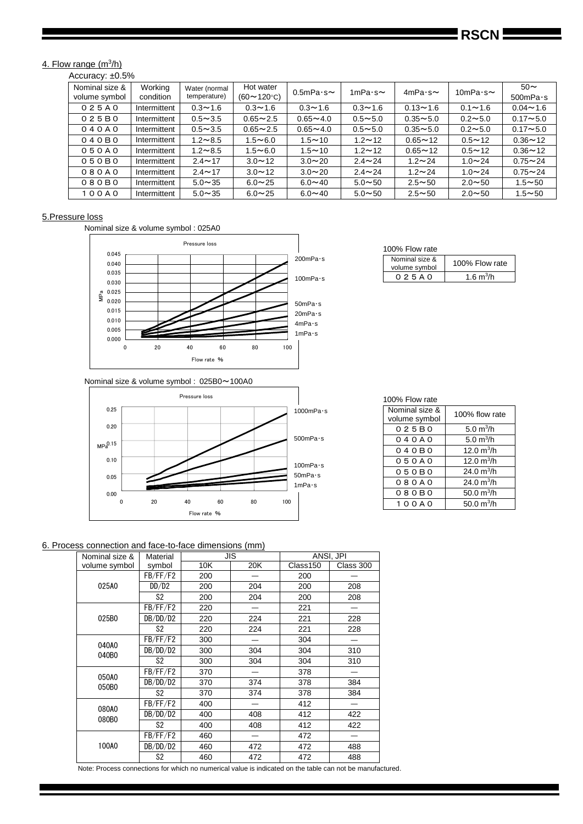## 4. Flow range (m<sup>3</sup>/h)

Accuracy: ±0.5%

| Nominal size &<br>volume symbol | Working<br>condition | Water (normal<br>temperature) | Hot water<br>$(60 \sim 120$ °C) | $0.5$ mPa $\cdot$ s $\sim$ | 1mPa $\cdot$ s $\sim$ | $4mPa·s \sim$ | 10mPa $\cdot$ s $\sim$ | $50\sim$<br>$500$ mPa $\cdot$ s |
|---------------------------------|----------------------|-------------------------------|---------------------------------|----------------------------|-----------------------|---------------|------------------------|---------------------------------|
| 025A0                           | Intermittent         | $0.3 - 1.6$                   | $0.3 - 1.6$                     | $0.3 - 1.6$                | $0.3 - 1.6$           | $0.13 - 1.6$  | $0.1 - 1.6$            | $0.04 - 1.6$                    |
| 025B0                           | Intermittent         | $0.5 - 3.5$                   | $0.65 - 2.5$                    | $0.65 - 4.0$               | $0.5 - 5.0$           | $0.35 - 5.0$  | $0.2 - 5.0$            | $0.17 - 5.0$                    |
| 040A0                           | Intermittent         | $0.5 - 3.5$                   | $0.65 - 2.5$                    | $0.65 - 4.0$               | $0.5 - 5.0$           | $0.35 - 5.0$  | $0.2 - 5.0$            | $0.17 - 5.0$                    |
| 040B0                           | Intermittent         | $1.2 - 8.5$                   | $1.5 - 6.0$                     | $1.5 - 10$                 | $1.2 - 12$            | $0.65 - 12$   | $0.5 - 12$             | $0.36 - 12$                     |
| 050A0                           | Intermittent         | $1.2 \sim 8.5$                | $1.5 - 6.0$                     | $1.5 - 10$                 | $1.2 - 12$            | $0.65 - 12$   | $0.5 - 12$             | $0.36 - 12$                     |
| 050B0                           | Intermittent         | $2.4 \sim 17$                 | $3.0 \sim 12$                   | $3.0 \sim 20$              | $2.4 \sim 24$         | $1.2 \sim 24$ | $1.0 - 24$             | $0.75 - 24$                     |
| 080A0                           | Intermittent         | $2.4 \sim 17$                 | $3.0 \sim 12$                   | $3.0 \sim 20$              | $2.4 \sim 24$         | $1.2 - 24$    | $1.0 - 24$             | $0.75 - 24$                     |
| 080B0                           | Intermittent         | $5.0 \sim 35$                 | $6.0 \sim 25$                   | $6.0 \sim 40$              | $5.0 - 50$            | $2.5 - 50$    | $2.0 - 50$             | $1.5 - 50$                      |
| 100A0                           | Intermittent         | $5.0 \sim 35$                 | $6.0 \sim 25$                   | $6.0 - 40$                 | $5.0 - 50$            | $2.5 - 50$    | $2.0 \sim 50$          | $1.5 - 50$                      |

## 5.Pressure loss

Nominal size & volume symbol : 025A0



Nominal size & volume symbol : 025B0~100A0



# 100% Flow rate

| Nominal size &<br>volume symbol | 100% Flow rate |
|---------------------------------|----------------|
| 0 2 5 A 0                       | 1.6 $m^3/h$    |

## 100% Flow rate

| Nominal size &<br>volume symbol | 100% flow rate |
|---------------------------------|----------------|
| 025B0                           | 5.0 $m^3/h$    |
| 040A0                           | 5.0 $m^3/h$    |
| 040B0                           | 12.0 $m^3/h$   |
| 050A0                           | 12.0 $m^3/h$   |
| 050B0                           | 24.0 $m^3/h$   |
| 080A0                           | 24.0 $m^3/h$   |
| 080B0                           | 50.0 $m^3/h$   |
| 100A0                           | 50.0 $m^3/h$   |

## 6. Process connection and face-to-face dimensions (mm)

| Nominal size & | Material       |     | <b>JIS</b> |          | ANSI. JPI |
|----------------|----------------|-----|------------|----------|-----------|
| volume symbol  | symbol         | 10K | 20K        | Class150 | Class 300 |
|                | FB/FF/F2       | 200 |            | 200      |           |
| 025A0          | DD/D2          | 200 | 204        | 200      | 208       |
|                | S2             | 200 | 204        | 200      | 208       |
|                | FB/FF/F2       | 220 |            | 221      |           |
| 025B0          | DB/DD/D2       | 220 | 224        | 221      | 228       |
|                | S <sub>2</sub> | 220 | 224        | 221      | 228       |
| 040A0          | FB/FF/F2       | 300 |            | 304      |           |
| 040B0          | DB/DD/D2       | 300 | 304        | 304      | 310       |
|                | S <sub>2</sub> | 300 | 304        | 304      | 310       |
| 050A0          | FB/FF/F2       | 370 |            | 378      |           |
| 050B0          | DB/DD/D2       | 370 | 374        | 378      | 384       |
|                | S <sub>2</sub> | 370 | 374        | 378      | 384       |
|                | FB/FF/F2       | 400 |            | 412      |           |
| 080A0          | DB/DD/D2       | 400 | 408        | 412      | 422       |
| 080B0          | S2             | 400 | 408        | 412      | 422       |
|                | FB/FF/F2       | 460 |            | 472      |           |
| 100A0          | DB/DD/D2       | 460 | 472        | 472      | 488       |
|                | S <sub>2</sub> | 460 | 472        | 472      | 488       |

Note: Process connections for which no numerical value is indicated on the table can not be manufactured.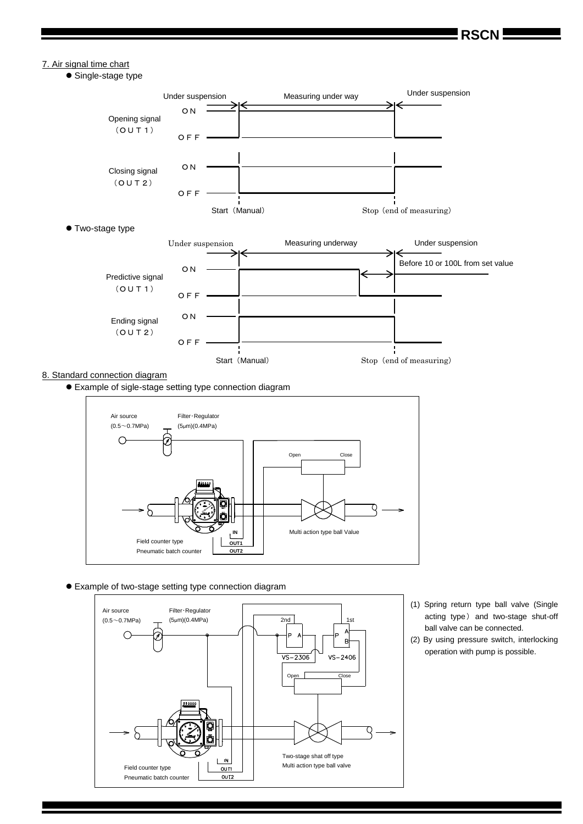**RSCN**

## 7. Air signal time chart

• Single-stage type



#### 8. Standard connection diagram

Example of sigle-stage setting type connection diagram



#### Example of two-stage setting type connection diagram



- (1) Spring return type ball valve (Single acting type) and two-stage shut-off ball valve can be connected.
- (2) By using pressure switch, interlocking operation with pump is possible.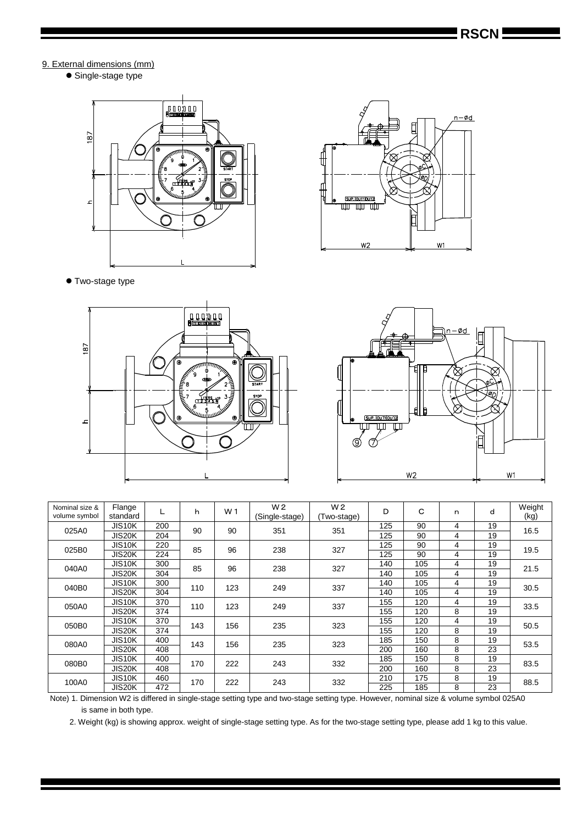## 9. External dimensions (mm)

• Single-stage type





Two-stage type





| Nominal size &<br>volume symbol | Flange<br>standard  |     | h   | W <sub>1</sub> | W <sub>2</sub><br>(Single-stage) | W <sub>2</sub><br>Two-stage) | D   | С   | n | d  | Weight<br>(kg) |  |
|---------------------------------|---------------------|-----|-----|----------------|----------------------------------|------------------------------|-----|-----|---|----|----------------|--|
| 025A0                           | JIS <sub>10</sub> K | 200 | 90  | 90             | 351                              | 351                          | 125 | 90  | 4 | 19 | 16.5           |  |
|                                 | JIS20K              | 204 |     |                |                                  |                              | 125 | 90  | 4 | 19 |                |  |
| 025B0                           | <b>JIS10K</b>       | 220 | 85  | 96<br>238      |                                  | 327                          | 125 | 90  | 4 | 19 | 19.5           |  |
|                                 | JIS20K              | 224 |     |                |                                  |                              | 125 | 90  | 4 | 19 |                |  |
| 040A0                           | JIS <sub>10</sub> K | 300 | 85  | 96             | 238                              | 327                          | 140 | 105 | 4 | 19 | 21.5           |  |
|                                 | JIS20K              | 304 |     |                |                                  |                              | 140 | 105 | 4 | 19 |                |  |
|                                 | JIS <sub>10</sub> K | 300 | 110 | 123            | 249                              | 337                          | 140 | 105 | 4 | 19 | 30.5           |  |
| 040B0                           | JIS20K              | 304 |     |                |                                  |                              | 140 | 105 | 4 | 19 |                |  |
| 050A0                           | JIS <sub>10</sub> K | 370 | 110 | 123            | 249                              | 337                          | 155 | 120 | 4 | 19 | 33.5           |  |
|                                 | JIS20K              | 374 |     |                |                                  |                              | 155 | 120 | 8 | 19 |                |  |
| 050B0                           | JIS <sub>10</sub> K | 370 | 143 | 156            | 235                              | 323                          | 155 | 120 | 4 | 19 | 50.5           |  |
|                                 | JIS20K              | 374 |     |                |                                  |                              | 155 | 120 | 8 | 19 |                |  |
| 080A0                           | JIS <sub>10</sub> K | 400 | 143 | 156            | 235                              | 323                          | 185 | 150 | 8 | 19 | 53.5           |  |
|                                 | JIS20K              | 408 |     |                |                                  |                              | 200 | 160 | 8 | 23 |                |  |
|                                 | JIS <sub>10</sub> K | 400 | 170 | 222            | 243                              | 332                          | 185 | 150 | 8 | 19 | 83.5           |  |
| 080B0                           | JIS20K              | 408 |     |                |                                  |                              | 200 | 160 | 8 | 23 |                |  |
|                                 | JIS <sub>10</sub> K | 460 | 170 | 222            | 243                              | 332                          | 210 | 175 | 8 | 19 |                |  |
| 100A0                           | JIS20K              | 472 |     |                |                                  |                              | 225 | 185 | 8 | 23 | 88.5           |  |

Note) 1. Dimension W2 is differed in single-stage setting type and two-stage setting type. However, nominal size & volume symbol 025A0 is same in both type.

2. Weight (kg) is showing approx. weight of single-stage setting type. As for the two-stage setting type, please add 1 kg to this value.